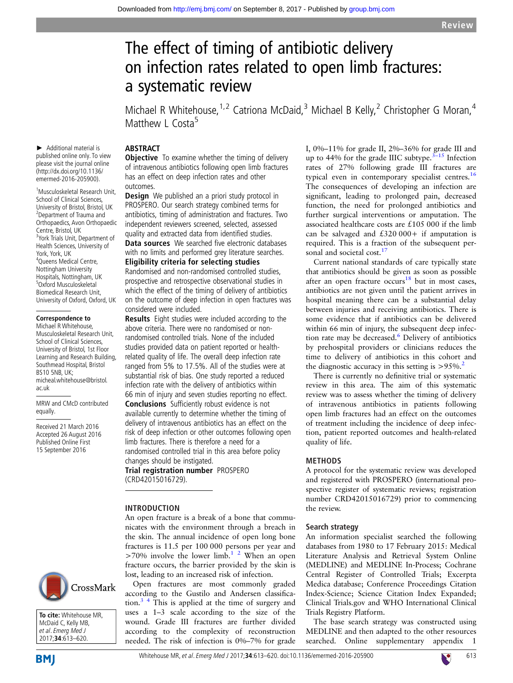# The effect of timing of antibiotic delivery on infection rates related to open limb fractures: a systematic review

Michael R Whitehouse,  $1,2$  Catriona McDaid, <sup>3</sup> Michael B Kelly, <sup>2</sup> Christopher G Moran, <sup>4</sup> Matthew L Costa<sup>5</sup>

# ABSTRACT

► Additional material is published online only. To view please visit the journal online (http://dx.doi.org/10.1136/ emermed-2016-205900).

1 Musculoskeletal Research Unit, School of Clinical Sciences, University of Bristol, Bristol, UK <sup>2</sup>Department of Trauma and Orthopaedics, Avon Orthopaedic Centre, Bristol, UK <sup>3</sup>York Trials Unit, Department of Health Sciences, University of York, York, UK 4 Queens Medical Centre, Nottingham University Hospitals, Nottingham, UK 5 Oxford Musculoskeletal Biomedical Research Unit, University of Oxford, Oxford, UK

### **Correspondence to**

Michael R Whitehouse, Musculoskeletal Research Unit, School of Clinical Sciences, University of Bristol, 1st Floor Learning and Research Building, Southmead Hospital, Bristol BS10 5NB, UK; micheal.whitehouse@bristol. ac.uk

MRW and CMcD contributed equally.

Received 21 March 2016 Accepted 26 August 2016 Published Online First 15 September 2016

**Objective** To examine whether the timing of delivery of intravenous antibiotics following open limb fractures has an effect on deep infection rates and other outcomes.

**Design** We published an a priori study protocol in PROSPERO. Our search strategy combined terms for antibiotics, timing of administration and fractures. Two independent reviewers screened, selected, assessed quality and extracted data from identified studies. Data sources We searched five electronic databases with no limits and performed grey literature searches. Eligibility criteria for selecting studies Randomised and non-randomised controlled studies, prospective and retrospective observational studies in which the effect of the timing of delivery of antibiotics on the outcome of deep infection in open fractures was considered were included.

Results Eight studies were included according to the above criteria. There were no randomised or nonrandomised controlled trials. None of the included studies provided data on patient reported or healthrelated quality of life. The overall deep infection rate ranged from 5% to 17.5%. All of the studies were at substantial risk of bias. One study reported a reduced infection rate with the delivery of antibiotics within 66 min of injury and seven studies reporting no effect.

Conclusions Sufficiently robust evidence is not available currently to determine whether the timing of delivery of intravenous antibiotics has an effect on the risk of deep infection or other outcomes following open limb fractures. There is therefore a need for a randomised controlled trial in this area before policy changes should be instigated.

Trial registration number PROSPERO (CRD42015016729).

# INTRODUCTION

An open fracture is a break of a bone that communicates with the environment through a breach in the skin. The annual incidence of open long bone fractures is 11.5 per 100 000 persons per year and  $>70\%$  involve the lower limb.<sup>1</sup><sup>2</sup> When an open fracture occurs, the barrier provided by the skin is lost, leading to an increased risk of infection.

Open fractures are most commonly graded according to the Gustilo and Andersen classification.[3 4](#page-6-0) This is applied at the time of surgery and uses a 1–3 scale according to the size of the wound. Grade III fractures are further divided according to the complexity of reconstruction needed. The risk of infection is 0%–7% for grade I, 0%–11% for grade II, 2%–36% for grade III and up to 44% for the grade IIIC subtype. $3-15$  $3-15$  Infection rates of 27% following grade III fractures are typical even in contemporary specialist centres.<sup>[16](#page-6-0)</sup> The consequences of developing an infection are significant, leading to prolonged pain, decreased function, the need for prolonged antibiotics and further surgical interventions or amputation. The associated healthcare costs are £105 000 if the limb can be salvaged and  $£320000+$  if amputation is required. This is a fraction of the subsequent per-sonal and societal cost.<sup>[17](#page-6-0)</sup>

Current national standards of care typically state that antibiotics should be given as soon as possible after an open fracture  $occurs<sup>18</sup>$  but in most cases, antibiotics are not given until the patient arrives in hospital meaning there can be a substantial delay between injuries and receiving antibiotics. There is some evidence that if antibiotics can be delivered within 66 min of injury, the subsequent deep infec-tion rate may be decreased.<sup>[6](#page-6-0)</sup> Delivery of antibiotics by prehospital providers or clinicians reduces the time to delivery of antibiotics in this cohort and the diagnostic accuracy in this setting is  $> 95\%$ .<sup>[2](#page-6-0)</sup>

There is currently no definitive trial or systematic review in this area. The aim of this systematic review was to assess whether the timing of delivery of intravenous antibiotics in patients following open limb fractures had an effect on the outcomes of treatment including the incidence of deep infection, patient reported outcomes and health-related quality of life.

# METHODS

A protocol for the systematic review was developed and registered with PROSPERO (international prospective register of systematic reviews; registration number CRD42015016729) prior to commencing the review.

# Search strategy

An information specialist searched the following databases from 1980 to 17 February 2015: Medical Literature Analysis and Retrieval System Online (MEDLINE) and MEDLINE In-Process; Cochrane Central Register of Controlled Trials; Excerpta Medica database; Conference Proceedings Citation Index-Science; Science Citation Index Expanded; Clinical Trials.gov and WHO International Clinical Trials Registry Platform.

The base search strategy was constructed using MEDLINE and then adapted to the other resources searched. Online [supplementary appendix](http://dx.doi.org/10.1136/emermed-2016-205900) 1



**To cite:** Whitehouse MR, McDaid C, Kelly MB, et al. Emerg Med J 2017;**34**:613–620.

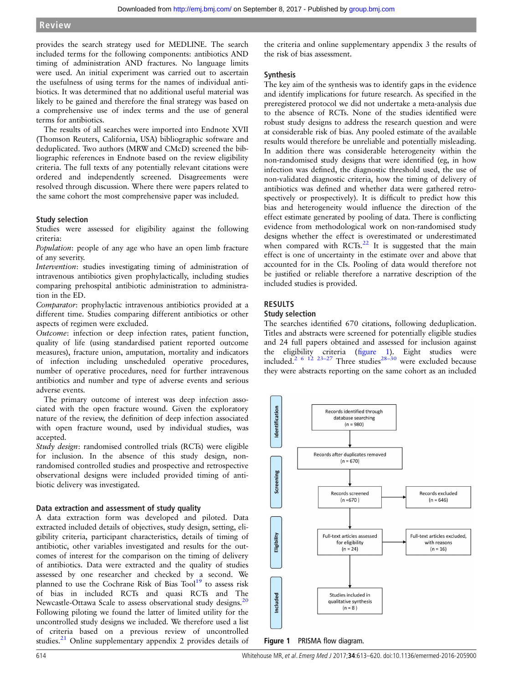provides the search strategy used for MEDLINE. The search included terms for the following components: antibiotics AND timing of administration AND fractures. No language limits were used. An initial experiment was carried out to ascertain the usefulness of using terms for the names of individual antibiotics. It was determined that no additional useful material was likely to be gained and therefore the final strategy was based on a comprehensive use of index terms and the use of general terms for antibiotics.

The results of all searches were imported into Endnote XVII (Thomson Reuters, California, USA) bibliographic software and deduplicated. Two authors (MRW and CMcD) screened the bibliographic references in Endnote based on the review eligibility criteria. The full texts of any potentially relevant citations were ordered and independently screened. Disagreements were resolved through discussion. Where there were papers related to the same cohort the most comprehensive paper was included.

# Study selection

Studies were assessed for eligibility against the following criteria:

Population: people of any age who have an open limb fracture of any severity.

Intervention: studies investigating timing of administration of intravenous antibiotics given prophylactically, including studies comparing prehospital antibiotic administration to administration in the ED.

Comparator: prophylactic intravenous antibiotics provided at a different time. Studies comparing different antibiotics or other aspects of regimen were excluded.

Outcome: infection or deep infection rates, patient function, quality of life (using standardised patient reported outcome measures), fracture union, amputation, mortality and indicators of infection including unscheduled operative procedures, number of operative procedures, need for further intravenous antibiotics and number and type of adverse events and serious adverse events.

The primary outcome of interest was deep infection associated with the open fracture wound. Given the exploratory nature of the review, the definition of deep infection associated with open fracture wound, used by individual studies, was accepted.

Study design: randomised controlled trials (RCTs) were eligible for inclusion. In the absence of this study design, nonrandomised controlled studies and prospective and retrospective observational designs were included provided timing of antibiotic delivery was investigated.

# Data extraction and assessment of study quality

A data extraction form was developed and piloted. Data extracted included details of objectives, study design, setting, eligibility criteria, participant characteristics, details of timing of antibiotic, other variables investigated and results for the outcomes of interest for the comparison on the timing of delivery of antibiotics. Data were extracted and the quality of studies assessed by one researcher and checked by a second. We planned to use the Cochrane Risk of Bias Tool<sup>19</sup> to assess risk of bias in included RCTs and quasi RCTs and The Newcastle-Ottawa Scale to assess observational study designs.<sup>[20](#page-6-0)</sup> Following piloting we found the latter of limited utility for the uncontrolled study designs we included. We therefore used a list of criteria based on a previous review of uncontrolled studies.<sup>[21](#page-6-0)</sup> Online [supplementary appendix](http://dx.doi.org/10.1136/emermed-2016-205900) 2 provides details of

the criteria and online [supplementary appendix](http://dx.doi.org/10.1136/emermed-2016-205900) 3 the results of the risk of bias assessment.

# Synthesis

The key aim of the synthesis was to identify gaps in the evidence and identify implications for future research. As specified in the preregistered protocol we did not undertake a meta-analysis due to the absence of RCTs. None of the studies identified were robust study designs to address the research question and were at considerable risk of bias. Any pooled estimate of the available results would therefore be unreliable and potentially misleading. In addition there was considerable heterogeneity within the non-randomised study designs that were identified (eg, in how infection was defined, the diagnostic threshold used, the use of non-validated diagnostic criteria, how the timing of delivery of antibiotics was defined and whether data were gathered retrospectively or prospectively). It is difficult to predict how this bias and heterogeneity would influence the direction of the effect estimate generated by pooling of data. There is conflicting evidence from methodological work on non-randomised study designs whether the effect is overestimated or underestimated when compared with  $RCTs<sup>22</sup>$  $RCTs<sup>22</sup>$  $RCTs<sup>22</sup>$  It is suggested that the main effect is one of uncertainty in the estimate over and above that accounted for in the CIs. Pooling of data would therefore not be justified or reliable therefore a narrative description of the included studies is provided.

# RESULTS

# Study selection

The searches identified 670 citations, following deduplication. Titles and abstracts were screened for potentially eligible studies and 24 full papers obtained and assessed for inclusion against the eligibility criteria (figure 1). Eight studies were included.<sup>[2 6 12 23](#page-6-0)-27</sup> Three studies<sup>28-[30](#page-6-0)</sup> were excluded because they were abstracts reporting on the same cohort as an included



Figure 1 PRISMA flow diagram.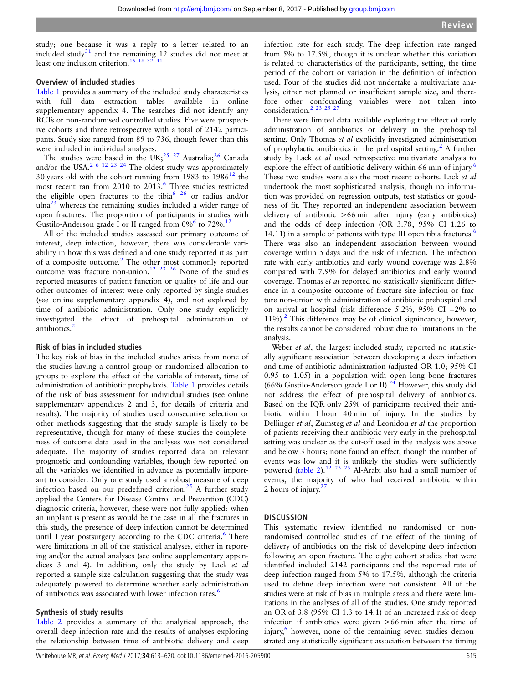study; one because it was a reply to a letter related to an included study $31$  and the remaining 12 studies did not meet at least one inclusion criterion.[15 16](#page-6-0) 32–[41](#page-6-0)

# Overview of included studies

[Table 1](#page-3-0) provides a summary of the included study characteristics with full data extraction tables available in online [supplementary appendix](http://dx.doi.org/10.1136/emermed-2016-205900) 4. The searches did not identify any RCTs or non-randomised controlled studies. Five were prospective cohorts and three retrospective with a total of 2142 participants. Study size ranged from 89 to 736, though fewer than this were included in individual analyses.

The studies were based in the UK;<sup>[25 27](#page-6-0)</sup> Australia;<sup>26</sup> Canada and/or the USA.<sup>2 6 12 23 24</sup> The oldest study was approximately 30 years old with the cohort running from 1983 to  $1986^{12}$  $1986^{12}$  $1986^{12}$  the most recent ran from 2010 to 2013.<sup>6</sup> Three studies restricted the eligible open fractures to the tibia<sup>6 26</sup> or radius and/or  $u$ lna<sup>23</sup> whereas the remaining studies included a wider range of open fractures. The proportion of participants in studies with Gustilo-Anderson grade I or II ranged from  $0\%$  to 72%.<sup>12</sup>

All of the included studies assessed our primary outcome of interest, deep infection, however, there was considerable variability in how this was defined and one study reported it as part of a composite outcome.<sup>[2](#page-6-0)</sup> The other most commonly reported outcome was fracture non-union.<sup>[12 23 26](#page-6-0)</sup> None of the studies reported measures of patient function or quality of life and our other outcomes of interest were only reported by single studies (see online [supplementary appendix](http://dx.doi.org/10.1136/emermed-2016-205900) 4), and not explored by time of antibiotic administration. Only one study explicitly investigated the effect of prehospital administration of antibiotics.<sup>[2](#page-6-0)</sup>

# Risk of bias in included studies

The key risk of bias in the included studies arises from none of the studies having a control group or randomised allocation to groups to explore the effect of the variable of interest, time of administration of antibiotic prophylaxis. [Table 1](#page-3-0) provides details of the risk of bias assessment for individual studies (see online supplementary appendices 2 and 3, for details of criteria and results). The majority of studies used consecutive selection or other methods suggesting that the study sample is likely to be representative, though for many of these studies the completeness of outcome data used in the analyses was not considered adequate. The majority of studies reported data on relevant prognostic and confounding variables, though few reported on all the variables we identified in advance as potentially important to consider. Only one study used a robust measure of deep infection based on our predefined criterion.<sup>[25](#page-6-0)</sup> A further study applied the Centers for Disease Control and Prevention (CDC) diagnostic criteria, however, these were not fully applied: when an implant is present as would be the case in all the fractures in this study, the presence of deep infection cannot be determined until 1 year postsurgery according to the CDC criteria.<sup>[6](#page-6-0)</sup> There were limitations in all of the statistical analyses, either in reporting and/or the actual analyses (see online supplementary appendices 3 and 4). In addition, only the study by Lack et al reported a sample size calculation suggesting that the study was adequately powered to determine whether early administration of antibiotics was associated with lower infection rates.<sup>[6](#page-6-0)</sup>

# Synthesis of study results

[Table 2](#page-5-0) provides a summary of the analytical approach, the overall deep infection rate and the results of analyses exploring the relationship between time of antibiotic delivery and deep

infection rate for each study. The deep infection rate ranged from 5% to 17.5%, though it is unclear whether this variation is related to characteristics of the participants, setting, the time period of the cohort or variation in the definition of infection used. Four of the studies did not undertake a multivariate analysis, either not planned or insufficient sample size, and therefore other confounding variables were not taken into consideration[.2 23 25 27](#page-6-0)

There were limited data available exploring the effect of early administration of antibiotics or delivery in the prehospital setting. Only Thomas et al explicitly investigated administration of prophylactic antibiotics in the prehospital setting.<sup>[2](#page-6-0)</sup> A further study by Lack et al used retrospective multivariate analysis to explore the effect of antibiotic delivery within [6](#page-6-0)6 min of injury.<sup>6</sup> These two studies were also the most recent cohorts. Lack et al undertook the most sophisticated analysis, though no information was provided on regression outputs, test statistics or goodness of fit. They reported an independent association between delivery of antibiotic >66 min after injury (early antibiotics) and the odds of deep infection (OR 3.78; 95% CI 1.26 to 14.11) in a sample of patients with type III open tibia fractures.<sup>[6](#page-6-0)</sup> There was also an independent association between wound coverage within 5 days and the risk of infection. The infection rate with early antibiotics and early wound coverage was 2.8% compared with 7.9% for delayed antibiotics and early wound coverage. Thomas et al reported no statistically significant difference in a composite outcome of fracture site infection or fracture non-union with administration of antibiotic prehospital and on arrival at hospital (risk difference 5.2%, 95% CI −2% to  $11\%$ ).<sup>[2](#page-6-0)</sup> This difference may be of clinical significance, however, the results cannot be considered robust due to limitations in the analysis.

Weber et al, the largest included study, reported no statistically significant association between developing a deep infection and time of antibiotic administration (adjusted OR 1.0; 95% CI 0.95 to 1.05) in a population with open long bone fractures (66% Gustilo-Anderson grade I or II).<sup>[24](#page-6-0)</sup> However, this study did not address the effect of prehospital delivery of antibiotics. Based on the IQR only 25% of participants received their antibiotic within 1 hour 40 min of injury. In the studies by Dellinger et al, Zumsteg et al and Leonidou et al the proportion of patients receiving their antibiotic very early in the prehospital setting was unclear as the cut-off used in the analysis was above and below 3 hours; none found an effect, though the number of events was low and it is unlikely the studies were sufficiently powered ([table 2\)](#page-5-0).<sup>[12 23 25](#page-6-0)</sup> Al-Arabi also had a small number of events, the majority of who had received antibiotic within 2 hours of injury. $27$ 

# **DISCUSSION**

This systematic review identified no randomised or nonrandomised controlled studies of the effect of the timing of delivery of antibiotics on the risk of developing deep infection following an open fracture. The eight cohort studies that were identified included 2142 participants and the reported rate of deep infection ranged from 5% to 17.5%, although the criteria used to define deep infection were not consistent. All of the studies were at risk of bias in multiple areas and there were limitations in the analyses of all of the studies. One study reported an OR of 3.8 (95% CI 1.3 to 14.1) of an increased risk of deep infection if antibiotics were given >66 min after the time of injury,<sup>[6](#page-6-0)</sup> however, none of the remaining seven studies demonstrated any statistically significant association between the timing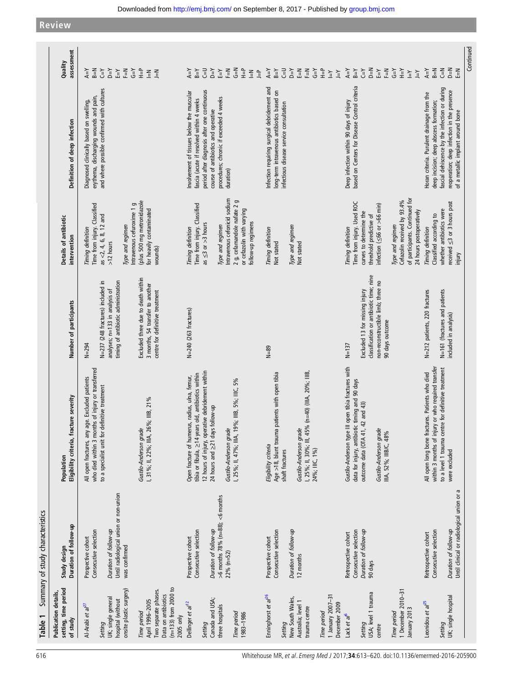<span id="page-3-0"></span>**Review**

| Table 1                                                            | Summary of study characteristics                                                |                                                                                                                                                      |                                                                                                           |                                                                                                                     |                                                                                                                                 |                                                                                                                                                                                           |
|--------------------------------------------------------------------|---------------------------------------------------------------------------------|------------------------------------------------------------------------------------------------------------------------------------------------------|-----------------------------------------------------------------------------------------------------------|---------------------------------------------------------------------------------------------------------------------|---------------------------------------------------------------------------------------------------------------------------------|-------------------------------------------------------------------------------------------------------------------------------------------------------------------------------------------|
| setting, time period<br><b>Publication details</b><br>of study     | Duration of follow-up<br>Study design                                           | Eligibility criteria, fracture severity<br>Population                                                                                                | Number of participants                                                                                    | Details of antibiotic<br>intervention                                                                               | Definition of deep infection                                                                                                    | assessment<br>Quality                                                                                                                                                                     |
| Al-Arabi et al <sup>27</sup><br>Setting                            | Consecutive selection<br>Prospective cohort                                     | who died within 3 months of injury or transferred<br>All open fractures, any age. Excluded patients<br>to a specialist unit for definitive treatment | N=237 (248 fractures) included in<br>$N = 294$                                                            | Time from injury. Classified<br>as <2, 4, 6, 8, 12 and<br>Timing definition                                         | and where possible confirmed with cultures<br>erythema, discharging wounds and pain,<br>Diagnosed clinically based on swelling, | $Y=$<br>$B = N$<br>$A = Y$                                                                                                                                                                |
| onsite plastic surgery)<br>UK; single general<br>hospital (without | Until radiological union or non-union<br>Duration of follow-up<br>was confirmed |                                                                                                                                                      | timing of antibiotic administration<br>analyses; n=133 in analysis of                                     | $>12$ hours                                                                                                         |                                                                                                                                 | $Y=Q$<br>$F = N$<br>ĒΥ                                                                                                                                                                    |
| Two separate phases.<br>April 1996-2005<br>Time period             |                                                                                 | 26%; IIIB, 21%<br>Gustilo-Anderson grade<br>, 31%; II, 22%; IIIA,                                                                                    | Excluded three due to death within<br>3 months, 54 transfer to another<br>centre for definitive treatment | (plus 500 mg metronidazole<br>Intravenous cefuroxime 1 g<br>for heavily contaminated<br>Type and regimen<br>wounds) |                                                                                                                                 | $\zeta = \gamma$<br>$\frac{1}{2}$<br>$\begin{array}{c} \underline{\mathsf{N}} \\ \underline{\mathsf{N}} \end{array}$                                                                      |
| $(n=133)$ from 2000 to<br>Data on antibiotics<br>$2005$ only       |                                                                                 |                                                                                                                                                      |                                                                                                           |                                                                                                                     |                                                                                                                                 |                                                                                                                                                                                           |
| Dellinger et al <sup>12</sup>                                      | Consecutive selection<br>Prospective cohort                                     | tibia or fibula, $\geq$ 14 years old, antibiotics within<br>Open fracture of humerus, radius, ulna, femur,                                           | $N=240$ (263 fractures)                                                                                   | Time from injury. Classified<br>Timing definition                                                                   | nvolvement of tissues below the muscular<br>fascia (acute if resolved within 4 weeks                                            | $A = Y$<br>$B = Y$                                                                                                                                                                        |
| Canada and USA;<br>Setting                                         | Duration of follow-up                                                           | 12 hours of injury, operative debridement within<br>24 hours and ≥21 days follow-up                                                                  |                                                                                                           | as $\leq$ 3 or >3 hours                                                                                             | period after diagnosis after one continuous<br>course of antibiotics and operative                                              | $Y=Q$<br>$C = U$                                                                                                                                                                          |
| three hospitals                                                    | $>6$ months 78% (n=88); <6 months<br>$22% (n=52)$                               | Gustilo-Anderson grade                                                                                                                               |                                                                                                           | Intravenous cefonicid sodium<br>Type and regimen                                                                    | procedures; chronic if exceeded 4 weeks<br>duration)                                                                            | $\tilde{\mathbb{H}}$<br>ΕŦ                                                                                                                                                                |
| Time period<br>1983-1986                                           |                                                                                 | 19%; IIIB, 5%; IIIC, 5%<br>I, 25%; II, 47%; IIIA,                                                                                                    |                                                                                                           | 2 g, cefamandole nafate 2 g<br>or cefazolin with varying<br>follow-up regimens                                      |                                                                                                                                 | $G = N$<br>$\frac{1}{2}$<br>$\begin{array}{c} \underline{\mathbb{F}} \\ \underline{\mathbb{F}} \end{array} \begin{array}{c} \underline{\mathbb{F}} \\ \underline{\mathbb{F}} \end{array}$ |
| Enninghorst et al <sup>26</sup>                                    | Consecutive selection<br>Prospective cohort                                     | Age >18, blunt trauma patients with open tibia<br>Eligibility criteria                                                                               | $N=89$                                                                                                    | Timing definition<br>Not stated                                                                                     | Infection requiring surgical debridement and<br>long-term intravenous antibiotics based on                                      | $A = Y$<br>$B = Y$                                                                                                                                                                        |
| New South Wales,<br>Setting                                        | Duration of follow-up                                                           | shaft fractures                                                                                                                                      |                                                                                                           | Type and regimen                                                                                                    | infectious disease service consultation                                                                                         | こし<br>$Y=Q$                                                                                                                                                                               |
| Australia; level 1<br>trauma centre                                | 12 months                                                                       | I, 25%; II, 30%; III, 45% (n=40) (IIIA, 20%; IIIB,<br>Gustilo-Anderson grade<br>24%; IIIC, 1%)                                                       |                                                                                                           | Not stated                                                                                                          |                                                                                                                                 | $\overline{\mathbb{H}}$<br>$\zeta = \gamma$<br>$F = N$                                                                                                                                    |
| 1 January 2007-31<br>December 2009<br>Time period                  |                                                                                 |                                                                                                                                                      |                                                                                                           |                                                                                                                     |                                                                                                                                 | $\frac{\mathsf{d}}{\mathsf{d}}$<br>$\lambda$ = $\lambda$<br>$\mathop{\underline{\mathbb{H}}}$                                                                                             |
| Lack et al <sup>6</sup>                                            | Consecutive selection<br>Retrospective cohort                                   | Gustilo-Anderson type III open tibia fractures with<br>data for injury, antibiotic timing and 90 days                                                | $N = 137$                                                                                                 | Time from injury. Used ROC<br>Timing definition                                                                     | based on Centers for Disease Control criteria<br>Deep infection within 90 days of injury                                        | $A = Y$<br>$B = Y$                                                                                                                                                                        |
| USA; level 1 trauma<br>Setting                                     | Duration of follow-up<br>90 days                                                | outcome data (OTA 41, 42 and 43)                                                                                                                     | classification or antibiotic time; nine<br>Excluded 13 for missing injury                                 | curves to determine the<br>threshold predictive of                                                                  |                                                                                                                                 | $D = N$<br>$Y=2$                                                                                                                                                                          |
| centre                                                             |                                                                                 | Gustilo-Anderson grade<br>IIIA, 52%; IIIB/C, 48%                                                                                                     | non-reconstructible limb; three no<br>90 days outcome                                                     | infection ( $\leq$ 66 or $>$ 66 min)                                                                                |                                                                                                                                 | $F=$ N<br>ΕŦ                                                                                                                                                                              |
| 1 December 2010-31<br>lanuary 2013<br>Time period                  |                                                                                 |                                                                                                                                                      |                                                                                                           | of participants. Continued for<br>Cefazolin received by 93.4%<br>24 hours postoperatively<br>Type and regimen       |                                                                                                                                 | $\zeta = \gamma$<br>$\lambda$ = H<br>$\overline{\underline{\ } }$<br>$\overline{Y}$                                                                                                       |
| Leonidou et al <sup>25</sup>                                       | Retrospective cohort                                                            | All open long bone fractures. Patients who died                                                                                                      | N=212 patients, 220 fractures                                                                             | Timing definition                                                                                                   | Horan criteria. Purulent drainage from the                                                                                      | $A = Y$                                                                                                                                                                                   |
| Setting                                                            | Consecutive selection                                                           | within 3 months of injury or who required transfer<br>to a level 1 trauma centre for definitive treatment                                            | N=161 (fractures and patients                                                                             | whether antibiotics were<br>Classified according to                                                                 | fascial dehiscence by the infection or during<br>deep incision; deep abscess formation;                                         | $\overline{C}$<br>$B=N$                                                                                                                                                                   |
| UK; single hospital                                                | Until clinical or radiological union or a<br>Duration of follow-up              | were excluded                                                                                                                                        | included in analysis)                                                                                     | received $\leq$ 3 or 3 hours post<br>injury                                                                         | reoperation; deep infection in the presence<br>of a metallic implant around bone                                                | $\sum_{i=1}^{n}$<br>$\tilde{=}$                                                                                                                                                           |
|                                                                    |                                                                                 |                                                                                                                                                      |                                                                                                           |                                                                                                                     |                                                                                                                                 | Continuer                                                                                                                                                                                 |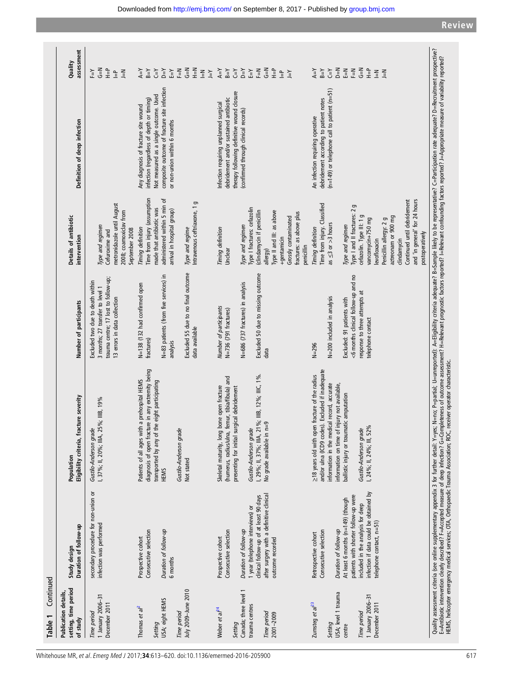| <b>Publication details</b>                                          |                                                                                                                                                                                      |                                                                                                                                                                                                                                                                                                                                                                                                                                                                                                       |                                                                                                                                              |                                                                                                                                                                                                                                                                          |                                                                                                                                                                                                             |                                                                                                                  |
|---------------------------------------------------------------------|--------------------------------------------------------------------------------------------------------------------------------------------------------------------------------------|-------------------------------------------------------------------------------------------------------------------------------------------------------------------------------------------------------------------------------------------------------------------------------------------------------------------------------------------------------------------------------------------------------------------------------------------------------------------------------------------------------|----------------------------------------------------------------------------------------------------------------------------------------------|--------------------------------------------------------------------------------------------------------------------------------------------------------------------------------------------------------------------------------------------------------------------------|-------------------------------------------------------------------------------------------------------------------------------------------------------------------------------------------------------------|------------------------------------------------------------------------------------------------------------------|
| setting, time period<br>of study                                    | Duration of follow-up<br>Study design                                                                                                                                                | Eligibility criteria, fracture severity<br>Population                                                                                                                                                                                                                                                                                                                                                                                                                                                 | Number of participants                                                                                                                       | Details of antibiotic<br>intervention                                                                                                                                                                                                                                    | Definition of deep infection                                                                                                                                                                                | assessment<br>Quality                                                                                            |
| 1 January 2006-31<br>December 2011<br>Time period                   | secondary procedure for non-union or<br>infection was performed                                                                                                                      | I, 37%; II, 20%; IIIA, 25%; IIIB, 19%<br>Gustilo-Anderson grade                                                                                                                                                                                                                                                                                                                                                                                                                                       | trauma centre; 17 lost to follow-up;<br>Excluded two due to death within<br>3 months; 27 transfer to level 1<br>13 errors in data collection | metronidazole until August<br>2008; coamoxiclav from<br>Type and regimen<br>September 2008<br>Cefuroxime and                                                                                                                                                             |                                                                                                                                                                                                             | γ⊫<br>읖<br>$\leq$<br>ΞY<br>$\frac{\Omega}{\Pi}$                                                                  |
| USA; eight HEMS<br>Thomas et $a^2$<br>Setting                       | Consecutive selection<br>Duration of follow-up<br>Prospective cohort<br>6 months                                                                                                     | diagnosis of open fracture in any extremity being<br>Patients of all ages with a prehospital HEMS<br>the eight participating<br>transported by any of<br>HEMS                                                                                                                                                                                                                                                                                                                                         | N=83 patients (from five services) in<br>N=138 (132 had confirmed open<br>fractures)<br>analysis                                             | Time from injury (assumption<br>administered within 5 min of<br>made that antibiotic was<br>arrival in hospital group)<br>Timing definition                                                                                                                              | composite outcome of fracture site infection<br>Not measured as a single outcome. Used<br>infection (regardless of depth or timing)<br>Any diagnosis of fracture site wound<br>or non-union within 6 months | λΞ<br>$Y=Q$<br>$A = Y$<br>ĒΥ<br>$A = R$                                                                          |
| July 2009-June 2010<br>Time period                                  |                                                                                                                                                                                      | Gustilo-Anderson grade<br>Not stated                                                                                                                                                                                                                                                                                                                                                                                                                                                                  | Excluded 55 due to no final outcome<br>data available                                                                                        | Intravenous ceftriaxone, 1 g<br>Type and regime                                                                                                                                                                                                                          |                                                                                                                                                                                                             | $\overline{G} = N$<br>$N=1$<br>즡<br>$\frac{2}{11}$<br>$\overline{Y}$                                             |
| Weber et al <sup>24</sup><br>Setting                                | Consecutive selection<br>Prospective cohort                                                                                                                                          | femur, tibia/fibula) and<br>bone open fracture<br>presenting for initial surgical debridement<br>Skeletal maturity, long<br>(humerus, radius/ulna,                                                                                                                                                                                                                                                                                                                                                    | Number of participants<br>N=736 (791 fractures)                                                                                              | Timing definition<br>Unclear                                                                                                                                                                                                                                             | therapy following definitive wound closure<br>debridement and/or sustained antibiotic<br>Infection requiring unplanned surgical                                                                             | $A = Y$<br>$Y=$<br>$B = Y$                                                                                       |
| Canada; three level 1<br>trauma centres<br>Time period<br>2001-2009 | after surgery with a definitive clinical<br>clinical follow-up of at least 90 days<br>1 year (telephone interviews) or<br>Duration of follow-up<br>outcome recorded                  | I, 29%; II, 37%; IIIA, 21%; IIIB, 12%; IIIC, 1%<br>$n=9$<br>Gustilo-Anderson grade<br>No grade available in                                                                                                                                                                                                                                                                                                                                                                                           | Excluded 50 due to missing outcome<br>N=686 (737 fractures) in analysis<br>data                                                              | Type I fractures: cefazolin<br>(clindamycin if penicillin<br>Type II and III: as above<br>fractures: as above plus<br>Grossly contaminated<br>Type and regimen<br>+gentamicin<br>penicillin<br>allergy)                                                                  | (confirmed through clinical records)                                                                                                                                                                        | $\overline{S}$<br>$\frac{1}{2}$<br>$Y=Q$<br>ĒΥ<br>$F=$<br>$\geq$<br>$\mathop{\mathbb{L}}$                        |
| USA; level 1 trauma<br>Zumsteg et $a^{23}$<br>Setting               | Duration of follow-up<br>Consecutive selection<br>Retrospective cohort                                                                                                               | and/or ulna (ICD9 codes). Excluded if inadequate<br>≥18 years old with open fracture of the radius<br>information in the medical record, accurate<br>information on time of injury not available,                                                                                                                                                                                                                                                                                                     | N=200 included in analysis<br>$N = 296$                                                                                                      | Time from injury. Classified<br>as $\leq 3$ or $>3$ hours<br>Timing definition                                                                                                                                                                                           | (n=149) or telephone call to patient (n=51)<br>debridement according to patient notes<br>An infection requiring operative                                                                                   | $D = N$<br>$Y=$<br>$A = Y$<br>$B = Y$                                                                            |
| 1 January 2006-31<br>December 2011<br>Time period<br>centre         | infection if data could be obtained by<br>patients with shorter follow-up were<br>At least 6 months (n=149) (though<br>included in the analysis for deep<br>telephone contact, n=51) | ballistic injury or traumatic amputation<br>I, 24%; II, 24%; III, 52%<br>Gustilo-Anderson grade                                                                                                                                                                                                                                                                                                                                                                                                       | <6 months clinical follow-up and no<br>response to three attempts at<br>Excluded: 91 patients with<br>telephone contact                      | and 'in general' for 24 hours<br>Continued until debridement<br>g<br>Type I and II fractures: 2<br>cefazolin. Type III: 1 g<br>aztreonam or 900 mg<br>vancomycin+750 mg<br>Penicillin allergy: 2 g<br>Type and regimen<br>postoperatively<br>levofloxacin<br>clindamycin |                                                                                                                                                                                                             | $\overline{5}$<br>$\frac{\partial \Gamma}{\partial \vec{r}}$<br>$\tilde{\Xi}$<br>F=N<br>$\frac{2}{11}$<br>$\leq$ |
|                                                                     | HEMS, helicopter emergency medical services; OTA, Orthopaedic Trauma Association; ROC,                                                                                               | Quality assessment criteria (see online supplementary appendix 3 for further detail: Y=yes: N=no; P=partial; U=umeported): A=Eligibility criteria adequate? D=Sample likely to be representative? C=Participation rate adequat<br>E=Antibiotic intervention clearly described? F=Accepted measure of deep infection? G=Completeness of outcome assessment? H=Relevant prognostic factors reported? I=Relevant confounding factors reported? J=Appropriate measur<br>receiver operator characteristic. |                                                                                                                                              |                                                                                                                                                                                                                                                                          |                                                                                                                                                                                                             |                                                                                                                  |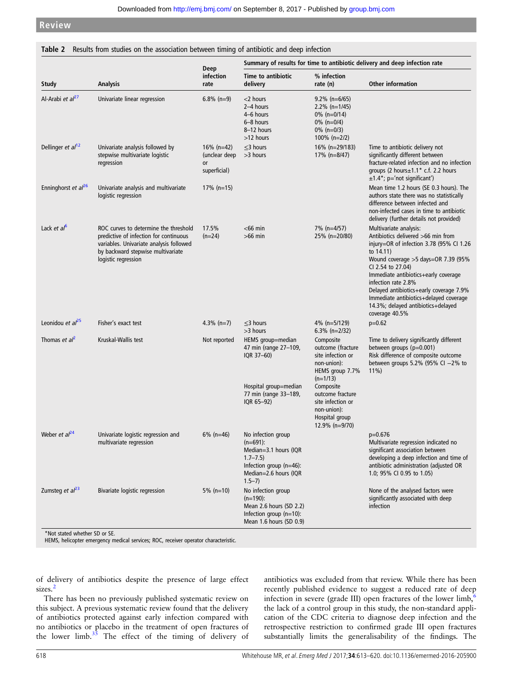<span id="page-5-0"></span>**Review**

|                              |                                                                                                                                                                                        |                                                   |                                                                                                                                                |                                                                                                              | Summary of results for time to antibiotic delivery and deep infection rate                                                                                                                                                                                                                                                                                                                        |
|------------------------------|----------------------------------------------------------------------------------------------------------------------------------------------------------------------------------------|---------------------------------------------------|------------------------------------------------------------------------------------------------------------------------------------------------|--------------------------------------------------------------------------------------------------------------|---------------------------------------------------------------------------------------------------------------------------------------------------------------------------------------------------------------------------------------------------------------------------------------------------------------------------------------------------------------------------------------------------|
| <b>Study</b>                 | <b>Analysis</b>                                                                                                                                                                        | Deep<br>infection<br>rate                         | Time to antibiotic<br>delivery                                                                                                                 | % infection<br>rate (n)                                                                                      | <b>Other information</b>                                                                                                                                                                                                                                                                                                                                                                          |
| Al-Arabi et al <sup>27</sup> | Univariate linear regression                                                                                                                                                           | $6.8\%$ (n=9)                                     | $<$ 2 hours<br>2-4 hours<br>4-6 hours<br>6-8 hours<br>8-12 hours<br>>12 hours                                                                  | $9.2\%$ (n=6/65)<br>$2.2\%$ (n=1/45)<br>$0\%$ (n=0/14)<br>$0\%$ (n=0/4)<br>$0\%$ (n=0/3)<br>100% (n= $2/2$ ) |                                                                                                                                                                                                                                                                                                                                                                                                   |
| Dellinger et $al12$          | Univariate analysis followed by<br>stepwise multivariate logistic<br>regression                                                                                                        | 16% (n=42)<br>(unclear deep<br>or<br>superficial) | $\leq$ 3 hours<br>>3 hours                                                                                                                     | 16% (n=29/183)<br>17% (n=8/47)                                                                               | Time to antibiotic delivery not<br>significantly different between<br>fracture-related infection and no infection<br>groups (2 hours $\pm 1.1$ * c.f. 2.2 hours<br>$\pm 1.4^{\star}$ ; p='not significant')                                                                                                                                                                                       |
| Enninghorst et $al^{26}$     | Univariate analysis and multivariate<br>logistic regression                                                                                                                            | $17\%$ (n=15)                                     |                                                                                                                                                |                                                                                                              | Mean time 1.2 hours (SE 0.3 hours). The<br>authors state there was no statistically<br>difference between infected and<br>non-infected cases in time to antibiotic<br>delivery (further details not provided)                                                                                                                                                                                     |
| Lack et $a^b$                | ROC curves to determine the threshold<br>predictive of infection for continuous<br>variables. Univariate analysis followed<br>by backward stepwise multivariate<br>logistic regression | 17.5%<br>$(n=24)$                                 | $<$ 66 min<br>$>66$ min                                                                                                                        | 7% (n=4/57)<br>25% (n=20/80)                                                                                 | Multivariate analysis:<br>Antibiotics delivered >66 min from<br>injury=OR of infection 3.78 (95% CI 1.26<br>to $14.11$ )<br>Wound coverage > 5 days=OR 7.39 (95%<br>CI 2.54 to 27.04)<br>Immediate antibiotics+early coverage<br>infection rate 2.8%<br>Delayed antibiotics+early coverage 7.9%<br>Immediate antibiotics+delayed coverage<br>14.3%; delayed antibiotics+delayed<br>coverage 40.5% |
| Leonidou et $al^{25}$        | Fisher's exact test                                                                                                                                                                    | 4.3% $(n=7)$                                      | $\leq$ 3 hours<br>>3 hours                                                                                                                     | 4% (n=5/129)<br>$6.3\%$ (n=2/32)                                                                             | $p=0.62$                                                                                                                                                                                                                                                                                                                                                                                          |
| Thomas et $al^2$             | Kruskal-Wallis test                                                                                                                                                                    | Not reported                                      | HEMS group=median<br>47 min (range 27-109,<br>IQR 37-60)                                                                                       | Composite<br>outcome (fracture<br>site infection or<br>non-union):<br>HEMS group 7.7%<br>$(n=1/13)$          | Time to delivery significantly different<br>between groups $(p=0.001)$<br>Risk difference of composite outcome<br>between groups $5.2\%$ (95% CI $-2\%$ to<br>$11\%$                                                                                                                                                                                                                              |
|                              |                                                                                                                                                                                        |                                                   | Hospital group=median<br>77 min (range 33-189,<br>IQR 65-92)                                                                                   | Composite<br>outcome fracture<br>site infection or<br>non-union):<br>Hospital group<br>12.9% (n=9/70)        |                                                                                                                                                                                                                                                                                                                                                                                                   |
| Weber et al <sup>24</sup>    | Univariate logistic regression and<br>multivariate regression                                                                                                                          | $6\%$ (n=46)                                      | No infection group<br>$(n=691)$ :<br>Median=3.1 hours (IQR<br>$1.7 - 7.5$<br>Infection group $(n=46)$ :<br>Median=2.6 hours (IQR<br>$1.5 - 7)$ |                                                                                                              | p=0.676<br>Multivariate regression indicated no<br>significant association between<br>developing a deep infection and time of<br>antibiotic administration (adjusted OR<br>1.0; 95% CI 0.95 to 1.05)                                                                                                                                                                                              |
| Zumsteg et $al23$            | Bivariate logistic regression                                                                                                                                                          | $5\%$ (n=10)                                      | No infection group<br>$(n=190)$ :<br>Mean 2.6 hours (SD 2.2)<br>Infection group $(n=10)$ :<br>Mean 1.6 hours (SD 0.9)                          |                                                                                                              | None of the analysed factors were<br>significantly associated with deep<br>infection                                                                                                                                                                                                                                                                                                              |

\*Not stated whether SD or SE.

HEMS, helicopter emergency medical services; ROC, receiver operator characteristic.

of delivery of antibiotics despite the presence of large effect sizes.<sup>[2](#page-6-0)</sup>

There has been no previously published systematic review on this subject. A previous systematic review found that the delivery of antibiotics protected against early infection compared with no antibiotics or placebo in the treatment of open fractures of the lower limb.[35](#page-7-0) The effect of the timing of delivery of antibiotics was excluded from that review. While there has been recently published evidence to suggest a reduced rate of deep infection in severe (grade III) open fractures of the lower limb,  $\frac{6}{5}$  $\frac{6}{5}$  $\frac{6}{5}$ the lack of a control group in this study, the non-standard application of the CDC criteria to diagnose deep infection and the retrospective restriction to confirmed grade III open fractures substantially limits the generalisability of the findings. The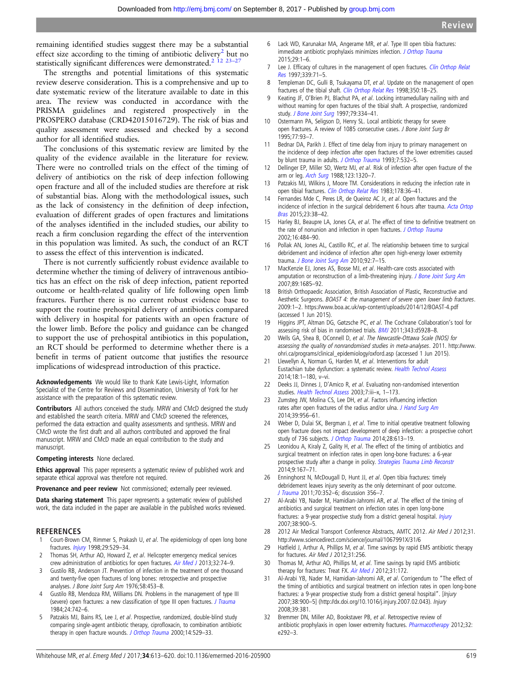<span id="page-6-0"></span>remaining identified studies suggest there may be a substantial effect size according to the timing of antibiotic delivery<sup>2</sup> but no statistically significant differences were demonstrated.<sup>2</sup> <sup>12</sup> <sup>23-2</sup>

The strengths and potential limitations of this systematic review deserve consideration. This is a comprehensive and up to date systematic review of the literature available to date in this area. The review was conducted in accordance with the PRISMA guidelines and registered prospectively in the PROSPERO database (CRD42015016729). The risk of bias and quality assessment were assessed and checked by a second author for all identified studies.

The conclusions of this systematic review are limited by the quality of the evidence available in the literature for review. There were no controlled trials on the effect of the timing of delivery of antibiotics on the risk of deep infection following open fracture and all of the included studies are therefore at risk of substantial bias. Along with the methodological issues, such as the lack of consistency in the definition of deep infection, evaluation of different grades of open fractures and limitations of the analyses identified in the included studies, our ability to reach a firm conclusion regarding the effect of the intervention in this population was limited. As such, the conduct of an RCT to assess the effect of this intervention is indicated.

There is not currently sufficiently robust evidence available to determine whether the timing of delivery of intravenous antibiotics has an effect on the risk of deep infection, patient reported outcome or health-related quality of life following open limb fractures. Further there is no current robust evidence base to support the routine prehospital delivery of antibiotics compared with delivery in hospital for patients with an open fracture of the lower limb. Before the policy and guidance can be changed to support the use of prehospital antibiotics in this population, an RCT should be performed to determine whether there is a benefit in terms of patient outcome that justifies the resource implications of widespread introduction of this practice.

Acknowledgements We would like to thank Kate Lewis-Light, Information Specialist of the Centre for Reviews and Dissemination, University of York for her assistance with the preparation of this systematic review.

Contributors All authors conceived the study. MRW and CMcD designed the study and established the search criteria. MRW and CMcD screened the references, performed the data extraction and quality assessments and synthesis. MRW and CMcD wrote the first draft and all authors contributed and approved the final manuscript. MRW and CMcD made an equal contribution to the study and manuscript.

Competing interests None declared.

Ethics approval This paper represents a systematic review of published work and separate ethical approval was therefore not required.

Provenance and peer review Not commissioned; externally peer reviewed.

Data sharing statement This paper represents a systematic review of published work, the data included in the paper are available in the published works reviewed.

# **REFERENCES**

- 1 Court-Brown CM, Rimmer S, Prakash U, et al. The epidemiology of open long bone fractures. [Injury](http://dx.doi.org/10.1016/S0020-1383(98)00125-9) 1998;29:529–34.
- 2 Thomas SH, Arthur AO, Howard Z, et al. Helicopter emergency medical services crew administration of antibiotics for open fractures. [Air Med J](http://dx.doi.org/10.1016/j.amj.2012.06.007) 2013;32:74-9.
- 3 Gustilo RB, Anderson JT. Prevention of infection in the treatment of one thousand and twenty-five open fractures of long bones: retrospective and prospective analyses. J Bone Joint Surg Am 1976;58:453–8.
- 4 Gustilo RB, Mendoza RM, Williams DN. Problems in the management of type III (severe) open fractures: a new classification of type III open fractures. [J Trauma](http://dx.doi.org/10.1097/00005373-198408000-00009) 1984;24:742–6.
- 5 Patzakis MJ, Bains RS, Lee J, et al. Prospective, randomized, double-blind study comparing single-agent antibiotic therapy, ciprofloxacin, to combination antibiotic therapy in open fracture wounds. [J Orthop Trauma](http://dx.doi.org/10.1097/00005131-200011000-00002) 2000;14:529-33.
- 6 Lack WD, Karunakar MA, Angerame MR, et al. Type III open tibia fractures: immediate antibiotic prophylaxis minimizes infection. [J Orthop Trauma](http://dx.doi.org/10.1097/BOT.0000000000000262) 2015;29:1–6.
- 7 Lee J. Efficacy of cultures in the management of open fractures. [Clin Orthop Relat](http://dx.doi.org/10.1097/00003086-199706000-00010) [Res](http://dx.doi.org/10.1097/00003086-199706000-00010) 1997;339:71–5.
- 8 Templeman DC, Gulli B, Tsukayama DT, et al. Update on the management of open fractures of the tibial shaft. [Clin Orthop Relat Res](http://dx.doi.org/10.1097/00003086-199805000-00003) 1998;350:18-25.
- 9 Keating JF, O'Brien PJ, Blachut PA, et al. Locking intramedullary nailing with and without reaming for open fractures of the tibial shaft. A prospective, randomized study. [J Bone Joint Surg](http://dx.doi.org/10.1097/00005373-197403000-00001) 1997;79:334-41.
- 10 Ostermann PA, Seligson D, Henry SL. Local antibiotic therapy for severe open fractures. A review of 1085 consecutive cases. J Bone Joint Surg Br 1995;77:93–7.
- 11 Bednar DA, Parikh J. Effect of time delay from injury to primary management on the incidence of deep infection after open fractures of the lower extremities caused by blunt trauma in adults. [J Orthop Trauma](http://dx.doi.org/10.1097/00005131-199312000-00008) 1993;7:532–5.
- 12 Dellinger EP, Miller SD, Wertz MJ, et al. Risk of infection after open fracture of the arm or leg. [Arch Surg](http://dx.doi.org/10.1001/archsurg.1988.01400350034004) 1988;123:1320–7.
- 13 Patzakis MJ, Wilkins J, Moore TM. Considerations in reducing the infection rate in open tibial fractures. [Clin Orthop Relat Res](http://dx.doi.org/10.1097/00003086-198309000-00006) 1983;178:36–41.
- 14 Fernandes Mde C, Peres LR, de Queiroz AC Jr, et al. Open fractures and the incidence of infection in the surgical debridement 6 hours after trauma. [Acta Ortop](http://dx.doi.org/10.1590/1413-78522015230100932) [Bras](http://dx.doi.org/10.1590/1413-78522015230100932) 2015;23:38–42.
- 15 Harley BJ, Beaupre LA, Jones CA, et al. The effect of time to definitive treatment on the rate of nonunion and infection in open fractures. [J Orthop Trauma](http://dx.doi.org/10.1097/00005131-200208000-00006) 2002;16:484–90.
- 16 Pollak AN, Jones AL, Castillo RC, et al. The relationship between time to surgical debridement and incidence of infection after open high-energy lower extremity trauma. [J Bone Joint Surg Am](http://dx.doi.org/10.2106/JBJS.H.00984) 2010;92:7-15.
- 17 MacKenzie EJ, Jones AS, Bosse MJ, et al. Health-care costs associated with amputation or reconstruction of a limb-threatening injury. [J Bone Joint Surg Am](http://dx.doi.org/10.2106/JBJS.F.01350) 2007;89:1685–92.
- 18 British Orthopaedic Association, British Association of Plastic, Reconstructive and Aesthetic Surgeons. BOAST 4: the management of severe open lower limb fractures. 2009:1–2.<https://www.boa.ac.uk/wp-content/uploads/2014/12/BOAST-4.pdf> (accessed 1 Jun 2015).
- 19 Higgins JPT, Altman DG, Gøtzsche PC, et al. The Cochrane Collaboration's tool for assessing risk of bias in randomised trials. [BMJ](http://dx.doi.org/10.1136/bmj.d5928) 2011;343:d5928–8.
- 20 Wells GA, Shea B, OConnell D, et al. The Newcastle-Ottawa Scale (NOS) for assessing the quality of nonrandomised studies in meta-analyses. 2011. [http://www.](http://www.ohri.ca/programs/clinical_epidemiology/oxford.asp) [ohri.ca/programs/clinical\\_epidemiology/oxford.asp](http://www.ohri.ca/programs/clinical_epidemiology/oxford.asp) (accessed 1 Jun 2015).
- 21 Llewellyn A, Norman G, Harden M, et al. Interventions for adult Eustachian tube dysfunction: a systematic review. [Health Technol Assess](http://dx.doi.org/10.3310/hta18460) 2014;18:1–180, v–vi.
- 22 Deeks JJ, Dinnes J, D'Amico R, et al. Evaluating non-randomised intervention studies. [Health Technol Assess](http://dx.doi.org/10.3310/hta7270) 2003;7:iii–x, 1–173.
- 23 Zumsteg JW, Molina CS, Lee DH, et al. Factors influencing infection rates after open fractures of the radius and/or ulna. [J Hand Surg Am](http://dx.doi.org/10.1016/j.jhsa.2014.02.008) 2014;39:956–61.
- 24 Weber D, Dulai SK, Bergman J, et al. Time to initial operative treatment following open fracture does not impact development of deep infection: a prospective cohort study of 736 subjects. [J Orthop Trauma](http://dx.doi.org/10.1097/BOT.0000000000000197) 2014;28:613-19.
- 25 Leonidou A, Kiraly Z, Gality H, et al. The effect of the timing of antibiotics and surgical treatment on infection rates in open long-bone fractures: a 6-year prospective study after a change in policy. [Strategies Trauma Limb Reconstr](http://dx.doi.org/10.1007/s11751-014-0208-9) 2014;9:167–71.
- 26 Enninghorst N, McDougall D, Hunt JJ, et al. Open tibia fractures: timely debridement leaves injury severity as the only determinant of poor outcome. [J Trauma](http://dx.doi.org/10.1097/TA.0b013e31820b4285) 2011;70:352–6; discussion 356–7.
- 27 Al-Arabi YB, Nader M, Hamidian-Jahromi AR, et al. The effect of the timing of antibiotics and surgical treatment on infection rates in open long-bone fractures: a 9-year prospective study from a district general hospital. [Injury](http://dx.doi.org/10.1016/j.injury.2007.02.043) 2007;38:900–5.
- 28 2012 Air Medical Transport Conference Abstracts, AMTC 2012. Air Med J 2012;31. <http://www.sciencedirect.com/science/journal/1067991X/31/6>
- 29 Hatfield J, Arthur A, Phillips M, et al. Time savings by rapid EMS antibiotic therapy for fractures. Air Med J 2012;31:256.
- 30 Thomas M, Arthur AO, Phillips M, et al. Time savings by rapid EMS antibiotic therapy for fractures: Treat FX. [Air Med J](http://dx.doi.org/10.1016/j.amj.2012.04.009) 2012;31:172.
- Al-Arabi YB, Nader M, Hamidian-Jahromi AR, et al. Corrigendum to "The effect of the timing of antibiotics and surgical treatment on infection rates in open long-bone fractures: a 9-year prospective study from a district general hospital". [Injury 2007;38:900–5] (http://dx.doi.org/10.1016/j.injury.2007.02.043). Injury 2008;39:381.
- Bremmer DN, Miller AD, Bookstaver PB, et al. Retrospective review of antibiotic prophylaxis in open lower extremity fractures. [Pharmacotherapy](http://dx.doi.org/10.1002/j.1875-9114.2012.01219) 2012;32: e292–3.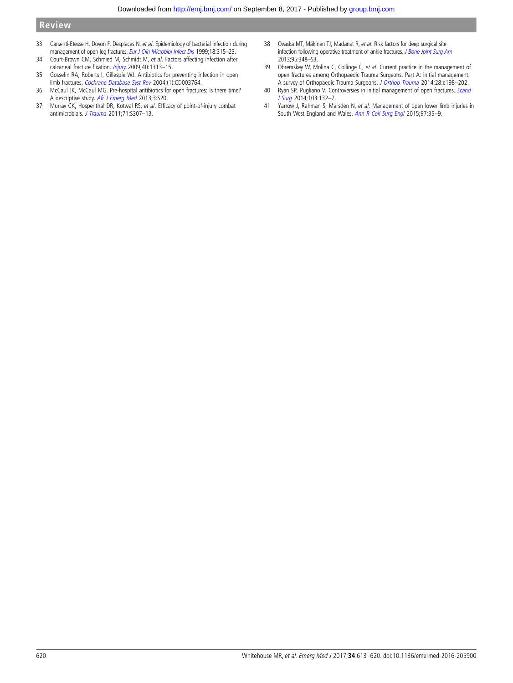- <span id="page-7-0"></span>33 Carsenti-Etesse H, Doyon F, Desplaces N, et al. Epidemiology of bacterial infection during management of open leg fractures. [Eur J Clin Microbiol Infect Dis](http://dx.doi.org/10.1007/PL00015012) 1999;18:315-23.
- 34 Court-Brown CM, Schmied M, Schmidt M, et al. Factors affecting infection after calcaneal fracture fixation. [Injury](http://dx.doi.org/10.1016/j.injury.2009.03.044) 2009;40:1313-15.
- 35 Gosselin RA, Roberts I, Gillespie WJ. Antibiotics for preventing infection in open limb fractures. [Cochrane Database Syst Rev](http://dx.doi.org/10.1002/14651858.CD003764.pub2) 2004;(1):CD003764.
- 36 McCaul JK, McCaul MG. Pre-hospital antibiotics for open fractures: is there time? A descriptive study. [Afr J Emerg Med](http://dx.doi.org/10.1016/j.afjem.2013.08.054) 2013;3:S20.
- 37 Murray CK, Hospenthal DR, Kotwal RS, et al. Efficacy of point-of-injury combat antimicrobials. [J Trauma](http://dx.doi.org/10.1097/TA.0b013e318227af79) 2011;71:S307–13.
- 38 Ovaska MT, Mäkinen TJ, Madanat R, et al. Risk factors for deep surgical site infection following operative treatment of ankle fractures. [J Bone Joint Surg Am](http://dx.doi.org/10.2106/JBJS.K.01672) 2013;95:348–53.
- 39 Obremskey W, Molina C, Collinge C, et al. Current practice in the management of open fractures among Orthopaedic Trauma Surgeons. Part A: initial management. A survey of Orthopaedic Trauma Surgeons. [J Orthop Trauma](http://dx.doi.org/10.1097/BOT.0000000000000033) 2014;28:e198–202.
- 40 Ryan SP, Pugliano V. Controversies in initial management of open fractures. [Scand](http://dx.doi.org/10.1177/1457496913519773) [J Surg](http://dx.doi.org/10.1177/1457496913519773) 2014;103:132–7.
- 41 Yarrow J, Rahman S, Marsden N, et al. Management of open lower limb injuries in South West England and Wales. [Ann R Coll Surg Engl](http://dx.doi.org/10.1308/003588414X14055925058472) 2015;97:35–9.